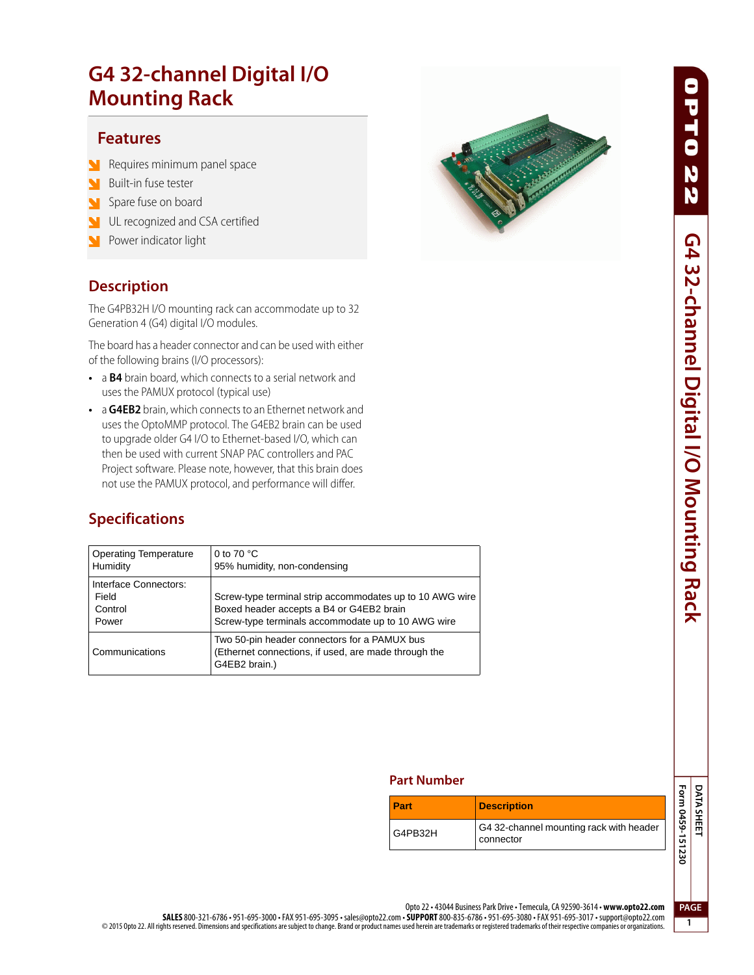## **Mounting Rack Mounting Rack**

### **Features**

- **Features** Requires minimum panel space
- Built-in fuse tester
- Spare fuse on board
- UL recognized and CSA certified
- Power indicator light

**The G4PB32H I/O mounting rack can accommodate up to 32** Generation 4 (G4) digital I/O modules.

The board has a header connector and can be used with either of the following brains (I/O processors):

- **•** a **B4** brain board, which connects to a serial network and uses the PAMUX protocol (typical use)
- **•** a **G4EB2** brain, which connects to an Ethernet network and uses the OptoMMP protocol. The G4EB2 brain can be used to upgrade older G4 I/O to Ethernet-based I/O, which can then be used with current SNAP PAC controllers and PAC Project software. Please note, however, that this brain does not use the PAMUX protocol, and performance will differ.

### **Specifications**

| <b>Operating Temperature</b><br>Humidity           | 0 to 70 $^{\circ}$ C<br>95% humidity, non-condensing                                                                                                       |
|----------------------------------------------------|------------------------------------------------------------------------------------------------------------------------------------------------------------|
| Interface Connectors:<br>Field<br>Control<br>Power | Screw-type terminal strip accommodates up to 10 AWG wire<br>Boxed header accepts a B4 or G4EB2 brain<br>Screw-type terminals accommodate up to 10 AWG wire |
| Communications                                     | Two 50-pin header connectors for a PAMUX bus<br>(Ethernet connections, if used, are made through the<br>G4EB2 brain.)                                      |



0PT0

### **Part Number Part Number**

| <b>Part</b> | <b>Description</b>                                   |
|-------------|------------------------------------------------------|
| G4PB32H     | G4 32-channel mounting rack with header<br>connector |



**1**

Opto 22 • 43044 Business Park Drive • Temecula, CA 92590-3614 • **www.opto22.com**

**SALES** 800-321-6786 • 951-695-3000 • FAX 951-695-3095 • sales@opto22.com • **SUPPORT** 800-835-6786 • 951-695-3080 • FAX 951-695-3017 • support@opto22.com © 2015 Opto 22. All rights reserved. Dimensions and specifications are subject to change. Brand or product names used herein are trademarks or registered trademarks of their respective companies or organizations.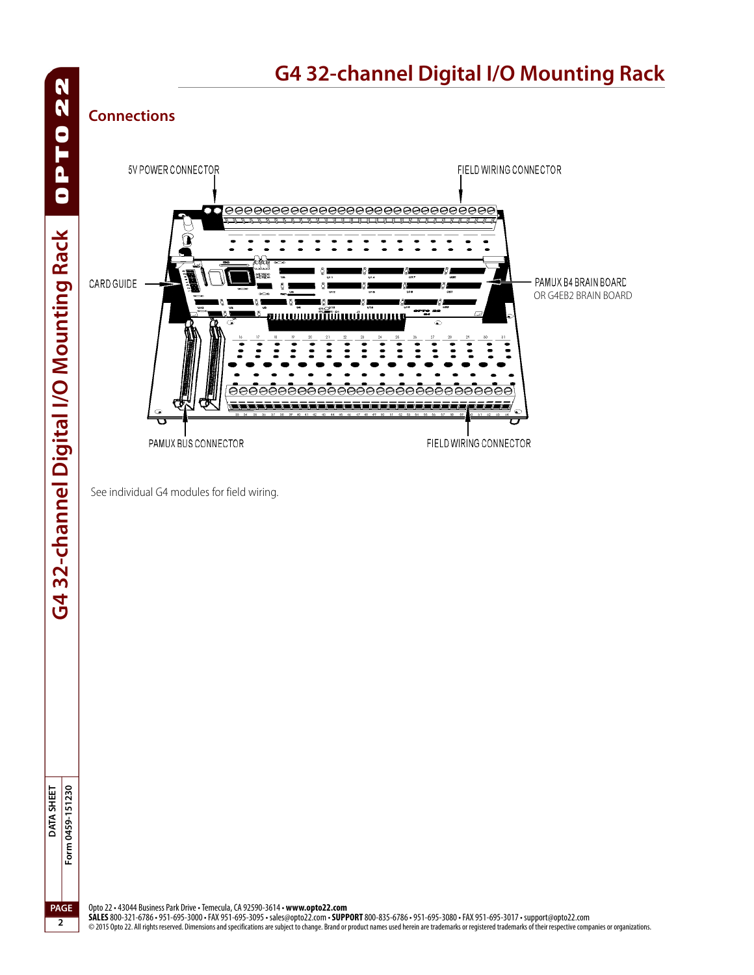OPT022 G432-channel Digital I/O Mounting Rack **G4 32-channel Digital I/O Mounting Rack**

## Form 0459-151230 DATA SHEET **DATA SHEET Form 0459-151230 PAGE**

**2**

## **G4 32-channel Digital I/O Mounting Rack**

## **Connections**



See individual G4 modules for field wiring.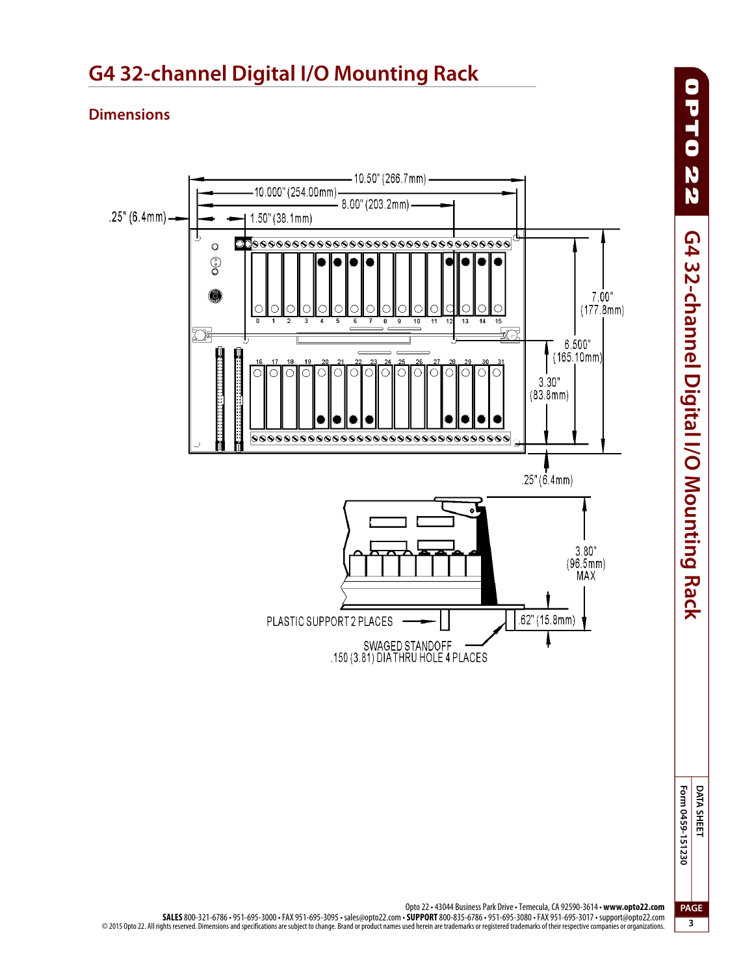

## **G4 32-channel Digital I/O Mounting Rack**

Opto 22 • 43044 Business Park Drive • Temecula, CA 92590-3614 • **www.opto22.com SALES** 800-321-6786 • 951-695-3000 • FAX 951-695-3095 • sales@opto22.com • **SUPPORT** 800-835-6786 • 951-695-3080 • FAX 951-695-3017 • support@opto22.com © 2015 Opto 22. All rights reserved. Dimensions and specifications are subject to change. Brand or product names used herein are trademarks or registered trademarks of their respective companies or organizations.

**Form 0459-151230 DATA SHEET PAGE**

**3**